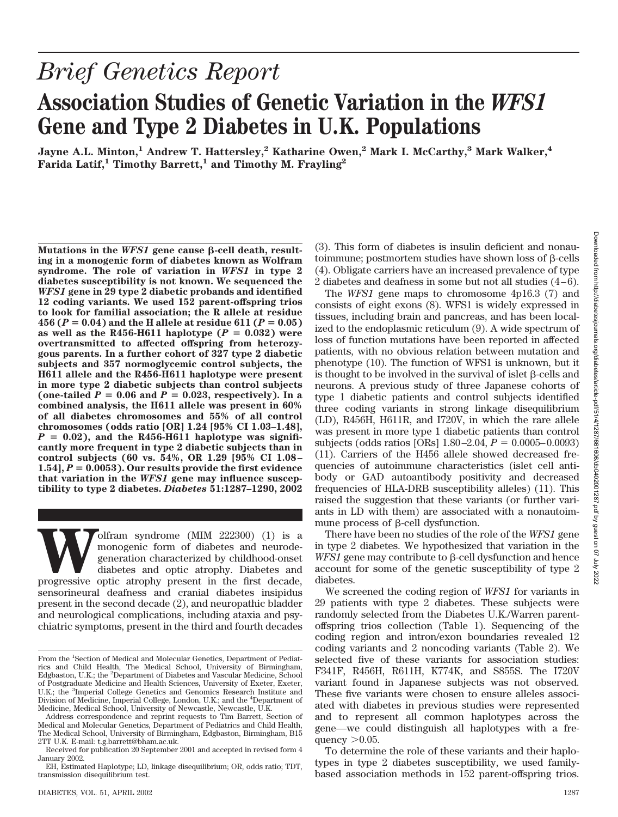# *Brief Genetics Report* **Association Studies of Genetic Variation in the** *WFS1* **Gene and Type 2 Diabetes in U.K. Populations**

**Jayne A.L. Minton,<sup>1</sup> Andrew T. Hattersley,<sup>2</sup> Katharine Owen,<sup>2</sup> Mark I. McCarthy,<sup>3</sup> Mark Walker,<sup>4</sup>** Farida Latif,<sup>1</sup> Timothy Barrett,<sup>1</sup> and Timothy M. Frayling<sup>2</sup>

Mutations in the *WFS1* gene cause  $\beta$ -cell death, result**ing in a monogenic form of diabetes known as Wolfram syndrome. The role of variation in** *WFS1* **in type 2 diabetes susceptibility is not known. We sequenced the** *WFS1* **gene in 29 type 2 diabetic probands and identified 12 coding variants. We used 152 parent-offspring trios to look for familial association; the R allele at residue**  $456 (P = 0.04)$  and the H allele at residue  $611 (P = 0.05)$ as well as the  $R456-H611$  haplotype  $(P = 0.032)$  were **overtransmitted to affected offspring from heterozygous parents. In a further cohort of 327 type 2 diabetic subjects and 357 normoglycemic control subjects, the H611 allele and the R456-H611 haplotype were present in more type 2 diabetic subjects than control subjects** (one-tailed  $P = 0.06$  and  $P = 0.023$ , respectively). In a **combined analysis, the H611 allele was present in 60% of all diabetes chromosomes and 55% of all control chromosomes (odds ratio [OR] 1.24 [95% CI 1.03–1.48],**  $P = 0.02$ ), and the R456-H611 haplotype was signifi**cantly more frequent in type 2 diabetic subjects than in control subjects (60 vs. 54%, OR 1.29 [95% CI 1.08–**  $1.54$ ,  $P = 0.0053$ . Our results provide the first evidence **that variation in the** *WFS1* **gene may influence susceptibility to type 2 diabetes.** *Diabetes* **51:1287–1290, 2002**

**We define the MIM 222300** (1) is a monogenic form of diabetes and neurode-<br>generation characterized by childhood-onset<br>diabetes and optic atrophy. Diabetes and<br>progressive optic atrophy present in the first decade, monogenic form of diabetes and neurodegeneration characterized by childhood-onset diabetes and optic atrophy. Diabetes and sensorineural deafness and cranial diabetes insipidus present in the second decade (2), and neuropathic bladder and neurological complications, including ataxia and psychiatric symptoms, present in the third and fourth decades (3). This form of diabetes is insulin deficient and nonautoimmune; postmortem studies have shown loss of  $\beta$ -cells (4). Obligate carriers have an increased prevalence of type 2 diabetes and deafness in some but not all studies (4–6).

The *WFS1* gene maps to chromosome 4p16.3 (7) and consists of eight exons (8). WFS1 is widely expressed in tissues, including brain and pancreas, and has been localized to the endoplasmic reticulum (9). A wide spectrum of loss of function mutations have been reported in affected patients, with no obvious relation between mutation and phenotype (10). The function of WFS1 is unknown, but it is thought to be involved in the survival of islet  $\beta$ -cells and neurons. A previous study of three Japanese cohorts of type 1 diabetic patients and control subjects identified three coding variants in strong linkage disequilibrium (LD), R456H, H611R, and I720V, in which the rare allele was present in more type 1 diabetic patients than control subjects (odds ratios [ORs]  $1.80 - 2.04$ ,  $P = 0.0005 - 0.0093$ ) (11). Carriers of the H456 allele showed decreased frequencies of autoimmune characteristics (islet cell antibody or GAD autoantibody positivity and decreased frequencies of HLA-DRB susceptibility alleles) (11). This raised the suggestion that these variants (or further variants in LD with them) are associated with a nonautoimmune process of  $\beta$ -cell dysfunction.

There have been no studies of the role of the *WFS1* gene in type 2 diabetes. We hypothesized that variation in the *WFS1* gene may contribute to  $\beta$ -cell dysfunction and hence account for some of the genetic susceptibility of type 2 diabetes.

We screened the coding region of *WFS1* for variants in 29 patients with type 2 diabetes. These subjects were randomly selected from the Diabetes U.K./Warren parentoffspring trios collection (Table 1). Sequencing of the coding region and intron/exon boundaries revealed 12 coding variants and 2 noncoding variants (Table 2). We selected five of these variants for association studies: F341F, R456H, R611H, K774K, and S855S. The I720V variant found in Japanese subjects was not observed. These five variants were chosen to ensure alleles associated with diabetes in previous studies were represented and to represent all common haplotypes across the gene—we could distinguish all haplotypes with a frequency  $>0.05$ .

To determine the role of these variants and their haplotypes in type 2 diabetes susceptibility, we used familybased association methods in 152 parent-offspring trios.

From the <sup>1</sup>Section of Medical and Molecular Genetics, Department of Pediatrics and Child Health, The Medical School, University of Birmingham, Edgbaston, U.K.; the <sup>2</sup>Department of Diabetes and Vascular Medicine, School of Postgraduate Medicine and Health Sciences, University of Exeter, Exeter, U.K.; the <sup>3</sup>Imperial College Genetics and Genomics Research Institute and Division of Medicine, Imperial College, London, U.K.; and the <sup>4</sup> Department of Medicine, Medical School, University of Newcastle, Newcastle, U.K.

Address correspondence and reprint requests to Tim Barrett, Section of Medical and Molecular Genetics, Department of Pediatrics and Child Health, The Medical School, University of Birmingham, Edgbaston, Birmingham, B15 2TT U.K. E-mail: t.g.barrett@bham.ac.uk.

Received for publication 20 September 2001 and accepted in revised form 4 January 2002.

EH, Estimated Haplotype; LD, linkage disequilibrium; OR, odds ratio; TDT, transmission disequilibrium test.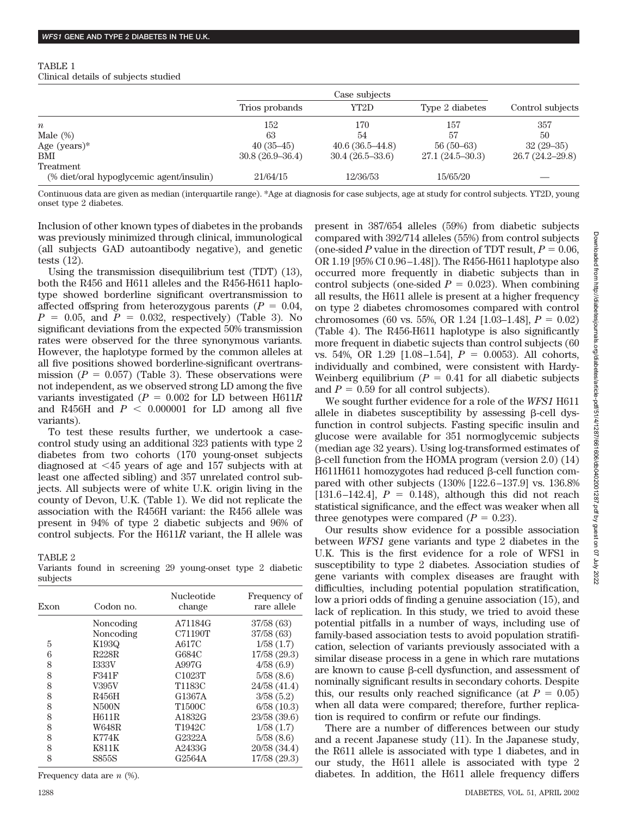| TABLE 1 |  |                                      |  |
|---------|--|--------------------------------------|--|
|         |  | Clinical details of subjects studied |  |

|                                          | Case subjects     |                   |                   |                   |  |
|------------------------------------------|-------------------|-------------------|-------------------|-------------------|--|
|                                          | Trios probands    | YT2D              | Type 2 diabetes   | Control subjects  |  |
| $\boldsymbol{n}$                         | 152               | 170               | 157               | 357               |  |
| Male $(\%)$                              | 63                | 54                | 57                | 50                |  |
| Age $(years)*$                           | $40(35-45)$       | $40.6(36.5-44.8)$ | $56(50-63)$       | $32(29-35)$       |  |
| <b>BMI</b>                               | $30.8(26.9-36.4)$ | $30.4(26.5-33.6)$ | $27.1(24.5-30.3)$ | $26.7(24.2-29.8)$ |  |
| Treatment                                |                   |                   |                   |                   |  |
| (% diet/oral hypoglycemic agent/insulin) | 21/64/15          | 12/36/53          | 15/65/20          |                   |  |

Continuous data are given as median (interquartile range). \*Age at diagnosis for case subjects, age at study for control subjects. YT2D, young onset type 2 diabetes.

Inclusion of other known types of diabetes in the probands was previously minimized through clinical, immunological (all subjects GAD autoantibody negative), and genetic tests (12).

Using the transmission disequilibrium test (TDT) (13), both the R456 and H611 alleles and the R456-H611 haplotype showed borderline significant overtransmission to affected offspring from heterozygous parents  $(P = 0.04,$  $P = 0.05$ , and  $P = 0.032$ , respectively) (Table 3). No significant deviations from the expected 50% transmission rates were observed for the three synonymous variants. However, the haplotype formed by the common alleles at all five positions showed borderline-significant overtransmission ( $P = 0.057$ ) (Table 3). These observations were not independent, as we observed strong LD among the five variants investigated  $(P = 0.002$  for LD between  $H611R$ and R456H and  $P < 0.000001$  for LD among all five variants).

To test these results further, we undertook a casecontrol study using an additional 323 patients with type 2 diabetes from two cohorts (170 young-onset subjects diagnosed at  $\leq$ 45 years of age and 157 subjects with at least one affected sibling) and 357 unrelated control subjects. All subjects were of white U.K. origin living in the county of Devon, U.K. (Table 1). We did not replicate the association with the R456H variant: the R456 allele was present in 94% of type 2 diabetic subjects and 96% of control subjects. For the H611*R* variant, the H allele was

TABLE 2

Variants found in screening 29 young-onset type 2 diabetic subjects

| Exon | Codon no.    | <b>Nucleotide</b><br>change | Frequency of<br>rare allele |
|------|--------------|-----------------------------|-----------------------------|
|      | Noncoding    | A71184G                     | 37/58 (63)                  |
|      | Noncoding    | C71190T                     | 37/58 (63)                  |
| 5    | K193Q        | A617C                       | 1/58(1.7)                   |
| 6    | R228R        | G684C                       | 17/58(29.3)                 |
| 8    | <b>I333V</b> | A997G                       | 4/58(6.9)                   |
| 8    | F341F        | C1023T                      | 5/58(8.6)                   |
| 8    | V395V        | T1183C                      | 24/58 (41.4)                |
| 8    | R456H        | G1367A                      | 3/58(5.2)                   |
| 8    | <b>N500N</b> | T1500C                      | 6/58(10.3)                  |
| 8    | H611R        | A1832G                      | 23/58 (39.6)                |
| 8    | W648R        | T1942C                      | 1/58(1.7)                   |
| 8    | <b>K774K</b> | G2322A                      | 5/58(8.6)                   |
| 8    | K811K        | A2433G                      | 20/58 (34.4)                |
| 8    | <b>S855S</b> | G2564A                      | 17/58 (29.3)                |
|      |              |                             |                             |

Frequency data are *n* (%).

present in 387/654 alleles (59%) from diabetic subjects compared with 392/714 alleles (55%) from control subjects (one-sided  $P$  value in the direction of TDT result,  $P = 0.06$ , OR 1.19 [95% CI 0.96–1.48]). The R456-H611 haplotype also occurred more frequently in diabetic subjects than in control subjects (one-sided  $P = 0.023$ ). When combining all results, the H611 allele is present at a higher frequency on type 2 diabetes chromosomes compared with control chromosomes (60 vs. 55%, OR 1.24 [1.03–1.48],  $P = 0.02$ ) (Table 4). The R456-H611 haplotype is also significantly more frequent in diabetic sujects than control subjects (60 vs. 54%, OR 1.29 [1.08–1.54],  $P = 0.0053$ ). All cohorts, individually and combined, were consistent with Hardy-Weinberg equilibrium  $(P = 0.41$  for all diabetic subjects and  $P = 0.59$  for all control subjects).

We sought further evidence for a role of the *WFS1* H611 allele in diabetes susceptibility by assessing  $\beta$ -cell dysfunction in control subjects. Fasting specific insulin and glucose were available for 351 normoglycemic subjects (median age 32 years). Using log-transformed estimates of  $\beta$ -cell function from the HOMA program (version 2.0) (14)  $H611H611$  homozygotes had reduced  $\beta$ -cell function compared with other subjects (130% [122.6–137.9] vs. 136.8%  $[131.6 - 142.4], P = 0.148,$  although this did not reach statistical significance, and the effect was weaker when all three genotypes were compared  $(P = 0.23)$ .

Our results show evidence for a possible association between *WFS1* gene variants and type 2 diabetes in the U.K. This is the first evidence for a role of WFS1 in susceptibility to type 2 diabetes. Association studies of gene variants with complex diseases are fraught with difficulties, including potential population stratification, low a priori odds of finding a genuine association (15), and lack of replication. In this study, we tried to avoid these potential pitfalls in a number of ways, including use of family-based association tests to avoid population stratification, selection of variants previously associated with a similar disease process in a gene in which rare mutations are known to cause  $\beta$ -cell dysfunction, and assessment of nominally significant results in secondary cohorts. Despite this, our results only reached significance (at  $P = 0.05$ ) when all data were compared; therefore, further replication is required to confirm or refute our findings.

There are a number of differences between our study and a recent Japanese study (11). In the Japanese study, the R611 allele is associated with type 1 diabetes, and in our study, the H611 allele is associated with type 2 diabetes. In addition, the H611 allele frequency differs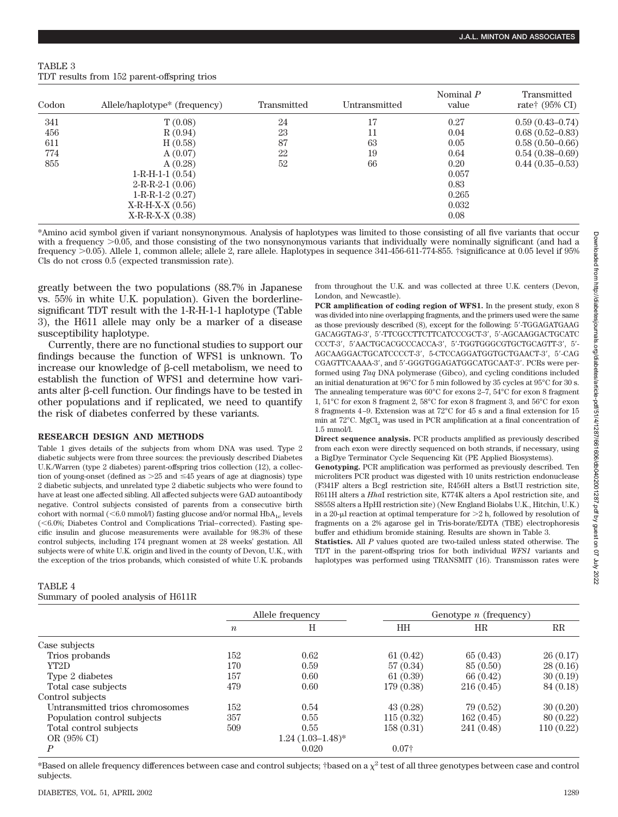| TABLE 3 |                                             |  |
|---------|---------------------------------------------|--|
|         | TDT results from 152 parent-offspring trios |  |

| Codon | Allele/haplotype* (frequency) | Transmitted | Untransmitted | Nominal $P$<br>value | Transmitted<br>rate <sup>†</sup> $(95\% \text{ CI})$ |
|-------|-------------------------------|-------------|---------------|----------------------|------------------------------------------------------|
| 341   | T(0.08)                       | 24          | 17            | 0.27                 | $0.59(0.43 - 0.74)$                                  |
| 456   | R(0.94)                       | 23          | 11            | 0.04                 | $0.68(0.52 - 0.83)$                                  |
| 611   | H(0.58)                       | 87          | 63            | 0.05                 | $0.58(0.50-0.66)$                                    |
| 774   | A(0.07)                       | 22          | 19            | 0.64                 | $0.54(0.38-0.69)$                                    |
| 855   | A(0.28)                       | 52          | 66            | 0.20                 | $0.44(0.35-0.53)$                                    |
|       | $1-R-H-1-(0.54)$              |             |               | 0.057                |                                                      |
|       | $2-R-R-2-1$ (0.06)            |             |               | 0.83                 |                                                      |
|       | $1-R-R-1-2(0.27)$             |             |               | 0.265                |                                                      |
|       | $X-R-H-X-X (0.56)$            |             |               | 0.032                |                                                      |
|       | $X-R-R-X-X (0.38)$            |             |               | 0.08                 |                                                      |

\*Amino acid symbol given if variant nonsynonymous. Analysis of haplotypes was limited to those consisting of all five variants that occur with a frequency  $>0.05$ , and those consisting of the two nonsynonymous variants that individually were nominally significant (and had a frequency 0.05). Allele 1, common allele; allele 2, rare allele. Haplotypes in sequence 341-456-611-774-855. †significance at 0.05 level if 95% Cls do not cross 0.5 (expected transmission rate).

greatly between the two populations (88.7% in Japanese vs. 55% in white U.K. population). Given the borderlinesignificant TDT result with the 1-R-H-1-1 haplotype (Table 3), the H611 allele may only be a marker of a disease susceptibility haplotype.

Currently, there are no functional studies to support our findings because the function of WFS1 is unknown. To increase our knowledge of  $\beta$ -cell metabolism, we need to establish the function of WFS1 and determine how variants alter  $\beta$ -cell function. Our findings have to be tested in other populations and if replicated, we need to quantify the risk of diabetes conferred by these variants.

## **RESEARCH DESIGN AND METHODS**

Table 1 gives details of the subjects from whom DNA was used. Type 2 diabetic subjects were from three sources: the previously described Diabetes U.K./Warren (type 2 diabetes) parent-offspring trios collection (12), a collection of young-onset (defined as  $>25$  and  $\leq 45$  years of age at diagnosis) type 2 diabetic subjects, and unrelated type 2 diabetic subjects who were found to have at least one affected sibling. All affected subjects were GAD autoantibody negative. Control subjects consisted of parents from a consecutive birth cohort with normal ( $\leq 6.0$  mmol/l) fasting glucose and/or normal  $HbA_{1c}$  levels  $(<6.0\%$ ; Diabetes Control and Complications Trial–corrected). Fasting specific insulin and glucose measurements were available for 98.3% of these control subjects, including 174 pregnant women at 28 weeks' gestation. All subjects were of white U.K. origin and lived in the county of Devon, U.K., with the exception of the trios probands, which consisted of white U.K. probands

#### TABLE 4 Summary of pooled analysis of H611R

from throughout the U.K. and was collected at three U.K. centers (Devon, London, and Newcastle).

**PCR amplification of coding region of WFS1.** In the present study, exon 8 was divided into nine overlapping fragments, and the primers used were the same as those previously described (8), except for the following: 5-TGGAGATGAAG GACAGGTAG-3, 5-TTCGCCTTCTTCATCCCGCT-3, 5-AGCAAGGACTGCATC CCCT-3, 5AACTGCACGCCCACCA-3, 5-TGGTGGGCGTGCTGCAGTT-3, 5- AGCAAGGACTGCATCCCCT-3, 5-CTCCAGGATGGTGCTGAACT-3, 5-CAG CGAGTTCAAAA-3, and 5-GGGTGGAGATGGCATGCAAT-3. PCRs were performed using *Taq* DNA polymerase (Gibco), and cycling conditions included an initial denaturation at 96°C for 5 min followed by 35 cycles at 95°C for 30 s. The annealing temperature was 60°C for exons 2–7, 54°C for exon 8 fragment 1, 51°C for exon 8 fragment 2, 58°C for exon 8 fragment 3, and 56°C for exon 8 fragments 4–9. Extension was at 72°C for 45 s and a final extension for 15 min at  $72^{\circ}$ C. MgCl<sub>2</sub> was used in PCR amplification at a final concentration of 1.5 mmol/l.

**Direct sequence analysis.** PCR products amplified as previously described from each exon were directly sequenced on both strands, if necessary, using a BigDye Terminator Cycle Sequencing Kit (PE Applied Biosystems).

**Genotyping.** PCR amplification was performed as previously described. Ten microliters PCR product was digested with 10 units restriction endonuclease (F341F alters a BcgI restriction site, R456H alters a BstUI restriction site, R611H alters a *Hha*I restriction site, K774K alters a ApoI restriction site, and S855S alters a HpHI restriction site) (New England Biolabs U.K., Hitchin, U.K.) in a 20-µl reaction at optimal temperature for  $>2$  h, followed by resolution of fragments on a 2% agarose gel in Tris-borate/EDTA (TBE) electrophoresis buffer and ethidium bromide staining. Results are shown in Table 3.

**Statistics.** All *P* values quoted are two-tailed unless stated otherwise. The TDT in the parent-offspring trios for both individual *WFS1* variants and haplotypes was performed using TRANSMIT (16). Transmisson rates were

|                                 | Allele frequency |                     | Genotype $n$ (frequency) |             |             |
|---------------------------------|------------------|---------------------|--------------------------|-------------|-------------|
|                                 | $\boldsymbol{n}$ | Η                   | HН                       | $_{\rm HR}$ | $_{\rm RR}$ |
| Case subjects                   |                  |                     |                          |             |             |
| Trios probands                  | 152              | 0.62                | 61 $(0.42)$              | 65(0.43)    | 26(0.17)    |
| YT2D                            | 170              | 0.59                | 57 (0.34)                | 85 (0.50)   | 28(0.16)    |
| Type 2 diabetes                 | 157              | 0.60                | 61(0.39)                 | 66 (0.42)   | 30(0.19)    |
| Total case subjects             | 479              | 0.60                | 179(0.38)                | 216(0.45)   | 84 (0.18)   |
| Control subjects                |                  |                     |                          |             |             |
| Untransmitted trios chromosomes | 152              | 0.54                | 43(0.28)                 | 79 (0.52)   | 30(0.20)    |
| Population control subjects     | 357              | 0.55                | 115(0.32)                | 162(0.45)   | 80(0.22)    |
| Total control subjects          | 509              | 0.55                | 158(0.31)                | 241 (0.48)  | 110 (0.22)  |
| OR (95% CI)                     |                  | $1.24(1.03-1.48)$ * |                          |             |             |
| P                               |                  | 0.020               | $0.07\dagger$            |             |             |

\*Based on allele frequency differences between case and control subjects; †based on a  $\chi^2$  test of all three genotypes between case and control subjects.